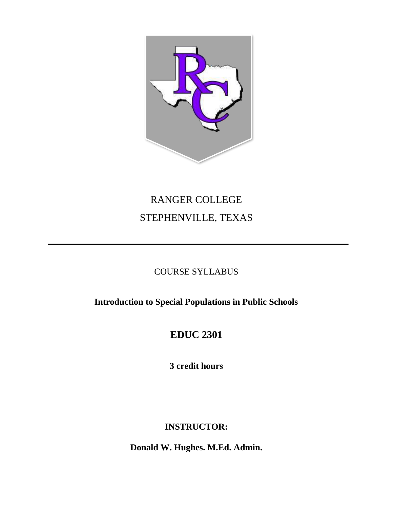

# RANGER COLLEGE STEPHENVILLE, TEXAS

## COURSE SYLLABUS

**Introduction to Special Populations in Public Schools** 

## **EDUC 2301**

**3 credit hours** 

## **INSTRUCTOR:**

**Donald W. Hughes. M.Ed. Admin.**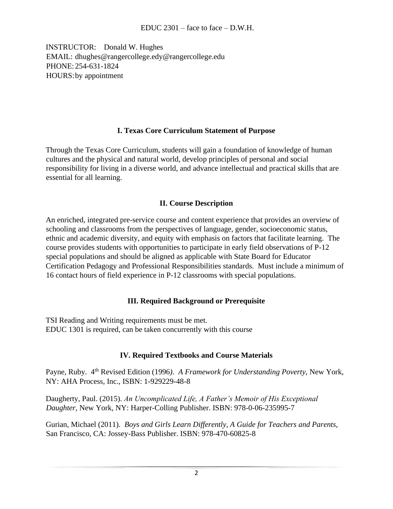INSTRUCTOR: Donald W. Hughes EMAIL: dhughes@rangercollege.edy@rangercollege.edu PHONE: 254-631-1824 HOURS: by appointment

#### **I. Texas Core Curriculum Statement of Purpose**

Through the Texas Core Curriculum, students will gain a foundation of knowledge of human cultures and the physical and natural world, develop principles of personal and social responsibility for living in a diverse world, and advance intellectual and practical skills that are essential for all learning.

#### **II. Course Description**

An enriched, integrated pre-service course and content experience that provides an overview of schooling and classrooms from the perspectives of language, gender, socioeconomic status, ethnic and academic diversity, and equity with emphasis on factors that facilitate learning. The course provides students with opportunities to participate in early field observations of P-12 special populations and should be aligned as applicable with State Board for Educator Certification Pedagogy and Professional Responsibilities standards. Must include a minimum of 16 contact hours of field experience in P-12 classrooms with special populations.

#### **III. Required Background or Prerequisite**

TSI Reading and Writing requirements must be met. EDUC 1301 is required, can be taken concurrently with this course

#### **IV. Required Textbooks and Course Materials**

Payne, Ruby. 4th Revised Edition (1996*). A Framework for Understanding Poverty*, New York, NY: AHA Process, Inc., ISBN: 1-929229-48-8

Daugherty, Paul. (2015). *An Uncomplicated Life, A Father's Memoir of His Exceptional Daughter*, New York, NY: Harper-Colling Publisher. ISBN: 978-0-06-235995-7

Gurian, Michael (2011). *Boys and Girls Learn Differently, A Guide for Teachers and Parents,*  San Francisco, CA: Jossey-Bass Publisher. ISBN: 978-470-60825-8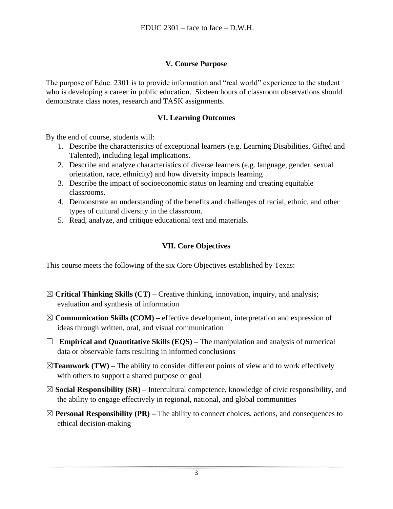#### **V. Course Purpose**

The purpose of Educ. 2301 is to provide information and "real world" experience to the student who is developing a career in public education. Sixteen hours of classroom observations should demonstrate class notes, research and TASK assignments.

#### **VI. Learning Outcomes**

By the end of course, students will:

- 1. Describe the characteristics of exceptional learners (e.g. Learning Disabilities, Gifted and Talented), including legal implications.
- 2. Describe and analyze characteristics of diverse learners (e.g. language, gender, sexual orientation, race, ethnicity) and how diversity impacts learning
- 3. Describe the impact of socioeconomic status on learning and creating equitable classrooms.
- 4. Demonstrate an understanding of the benefits and challenges of racial, ethnic, and other types of cultural diversity in the classroom.
- 5. Read, analyze, and critique educational text and materials.

#### **VII. Core Objectives**

This course meets the following of the six Core Objectives established by Texas:

- ☒ **Critical Thinking Skills (CT) –** Creative thinking, innovation, inquiry, and analysis; evaluation and synthesis of information
- ☒ **Communication Skills (COM) –** effective development, interpretation and expression of ideas through written, oral, and visual communication
- ☐ **Empirical and Quantitative Skills (EQS) –** The manipulation and analysis of numerical data or observable facts resulting in informed conclusions
- $\boxtimes$ **Teamwork (TW)** The ability to consider different points of view and to work effectively with others to support a shared purpose or goal
- ☒ **Social Responsibility (SR) –** Intercultural competence, knowledge of civic responsibility, and the ability to engage effectively in regional, national, and global communities
- $\boxtimes$  **Personal Responsibility (PR)** The ability to connect choices, actions, and consequences to ethical decision-making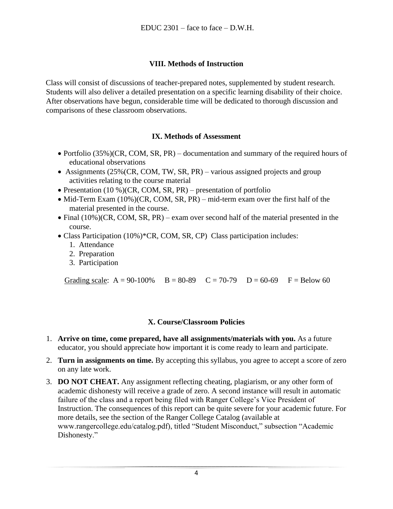#### **VIII. Methods of Instruction**

Class will consist of discussions of teacher-prepared notes, supplemented by student research. Students will also deliver a detailed presentation on a specific learning disability of their choice. After observations have begun, considerable time will be dedicated to thorough discussion and comparisons of these classroom observations.

#### **IX. Methods of Assessment**

- Portfolio (35%)(CR, COM, SR, PR) documentation and summary of the required hours of educational observations
- Assignments (25% (CR, COM, TW, SR, PR) various assigned projects and group activities relating to the course material
- Presentation  $(10\%)(CR, COM, SR, PR)$  presentation of portfolio
- Mid-Term Exam (10%)(CR, COM, SR, PR) mid-term exam over the first half of the material presented in the course.
- Final (10%)(CR, COM, SR, PR) exam over second half of the material presented in the course.
- Class Participation (10%)\*CR, COM, SR, CP) Class participation includes:
	- 1. Attendance
	- 2. Preparation
	- 3. Participation

Grading scale:  $A = 90-100\%$   $B = 80-89$   $C = 70-79$   $D = 60-69$   $F = Below 60$ 

#### **X. Course/Classroom Policies**

- 1. **Arrive on time, come prepared, have all assignments/materials with you.** As a future educator, you should appreciate how important it is come ready to learn and participate.
- 2. **Turn in assignments on time.** By accepting this syllabus, you agree to accept a score of zero on any late work.
- 3. **DO NOT CHEAT.** Any assignment reflecting cheating, plagiarism, or any other form of academic dishonesty will receive a grade of zero. A second instance will result in automatic failure of the class and a report being filed with Ranger College's Vice President of Instruction. The consequences of this report can be quite severe for your academic future. For more details, see the section of the Ranger College Catalog (available at www.rangercollege.edu/catalog.pdf), titled "Student Misconduct," subsection "Academic Dishonesty."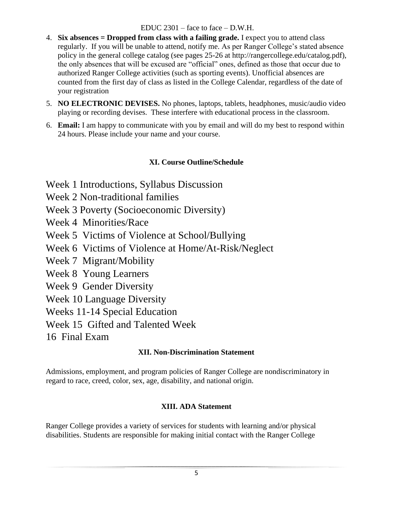#### EDUC 2301 – face to face – D.W.H.

- 4. **Six absences = Dropped from class with a failing grade.** I expect you to attend class regularly. If you will be unable to attend, notify me. As per Ranger College's stated absence policy in the general college catalog (see pages 25-26 at http://rangercollege.edu/catalog.pdf), the only absences that will be excused are "official" ones, defined as those that occur due to authorized Ranger College activities (such as sporting events). Unofficial absences are counted from the first day of class as listed in the College Calendar, regardless of the date of your registration
- 5. **NO ELECTRONIC DEVISES.** No phones, laptops, tablets, headphones, music/audio video playing or recording devises. These interfere with educational process in the classroom.
- 6. **Email:** I am happy to communicate with you by email and will do my best to respond within 24 hours. Please include your name and your course.

## **XI. Course Outline/Schedule**

- Week 1 Introductions, Syllabus Discussion
- Week 2 Non-traditional families
- Week 3 Poverty (Socioeconomic Diversity)
- Week 4 Minorities/Race
- Week 5 Victims of Violence at School/Bullying
- Week 6 Victims of Violence at Home/At-Risk/Neglect
- Week 7 Migrant/Mobility
- Week 8 Young Learners
- Week 9 Gender Diversity
- Week 10 Language Diversity
- Weeks 11-14 Special Education
- Week 15 Gifted and Talented Week
- 16 Final Exam

## **XII. Non-Discrimination Statement**

Admissions, employment, and program policies of Ranger College are nondiscriminatory in regard to race, creed, color, sex, age, disability, and national origin.

#### **XIII. ADA Statement**

Ranger College provides a variety of services for students with learning and/or physical disabilities. Students are responsible for making initial contact with the Ranger College